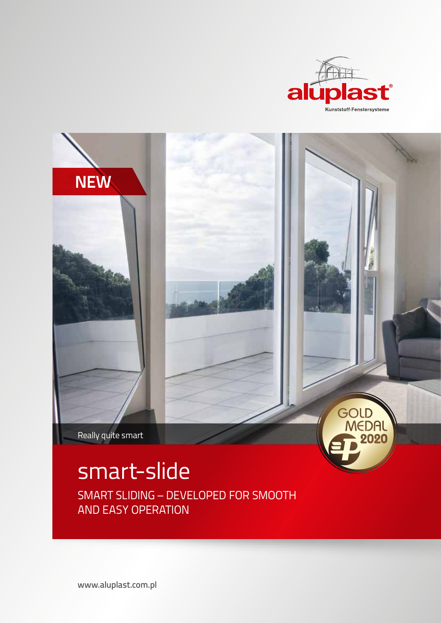



smart-slide SMART SLIDING – DEVELOPED FOR SMOOTH AND EASY OPERATION

www.aluplast.com.pl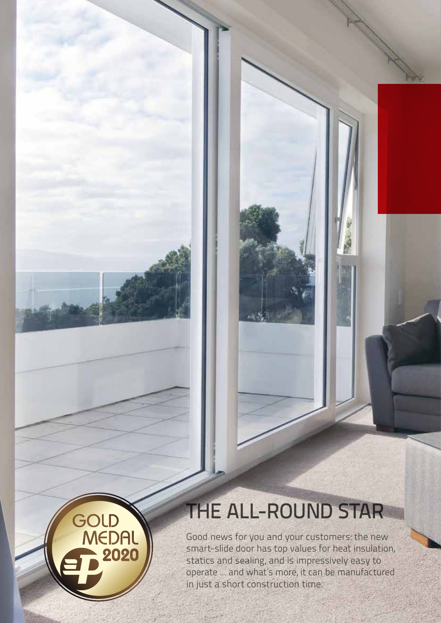# THE ALL-ROUND STAR

GOLD<br>MEDAL

2020

Good news for you and your customers: the new smart-slide door has top values for heat insulation, statics and sealing, and is impressively easy to operate ... and what's more, it can be manufactured in just a short construction time.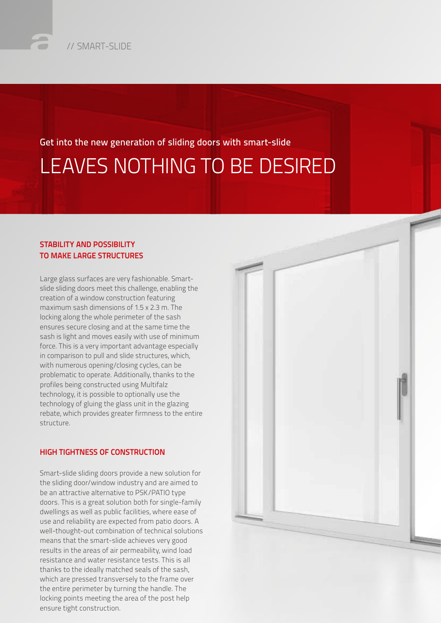### Get into the new generation of sliding doors with smart-slide LEAVES NOTHING TO BE DESIRED

#### STABILITY AND POSSIBILITY TO MAKE LARGE STRUCTURES

Large glass surfaces are very fashionable. Smartslide sliding doors meet this challenge, enabling the creation of a window construction featuring maximum sash dimensions of 1.5 x 2.3 m. The locking along the whole perimeter of the sash ensures secure closing and at the same time the sash is light and moves easily with use of minimum force. This is a very important advantage especially in comparison to pull and slide structures, which, with numerous opening/closing cycles, can be problematic to operate. Additionally, thanks to the profiles being constructed using Multifalz technology, it is possible to optionally use the technology of gluing the glass unit in the glazing rebate, which provides greater firmness to the entire structure.

#### HIGH TIGHTNESS OF CONSTRUCTION

Smart-slide sliding doors provide a new solution for the sliding door/window industry and are aimed to be an attractive alternative to PSK/PATIO type doors. This is a great solution both for single-family dwellings as well as public facilities, where ease of use and reliability are expected from patio doors. A well-thought-out combination of technical solutions means that the smart-slide achieves very good results in the areas of air permeability, wind load resistance and water resistance tests. This is all thanks to the ideally matched seals of the sash, which are pressed transversely to the frame over the entire perimeter by turning the handle. The locking points meeting the area of the post help ensure tight construction.

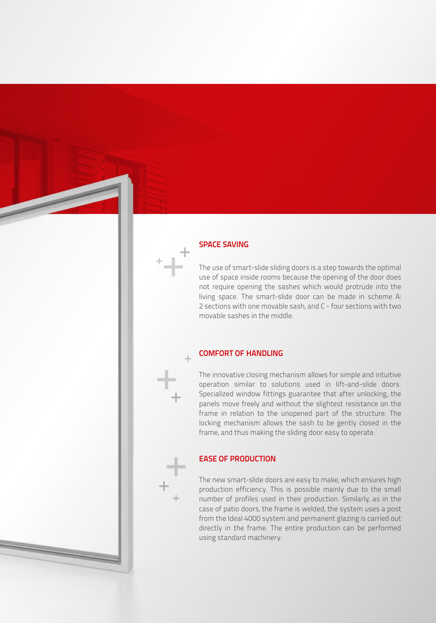#### SPACE SAVING

The use of smart-slide sliding doors is a step towards the optimal use of space inside rooms because the opening of the door does not require opening the sashes which would protrude into the living space. The smart-slide door can be made in scheme A: 2 sections with one movable sash, and C - four sections with two movable sashes in the middle.

#### COMFORT OF HANDLING

The innovative closing mechanism allows for simple and intuitive operation similar to solutions used in lift-and-slide doors. Specialized window fittings guarantee that after unlocking, the panels move freely and without the slightest resistance on the frame in relation to the unopened part of the structure. The locking mechanism allows the sash to be gently closed in the frame, and thus making the sliding door easy to operate.

#### EASE OF PRODUCTION

The new smart-slide doors are easy to make, which ensures high production efficiency. This is possible mainly due to the small number of profiles used in their production. Similarly, as in the case of patio doors, the frame is welded, the system uses a post from the Ideal 4000 system and permanent glazing is carried out directly in the frame. The entire production can be performed using standard machinery.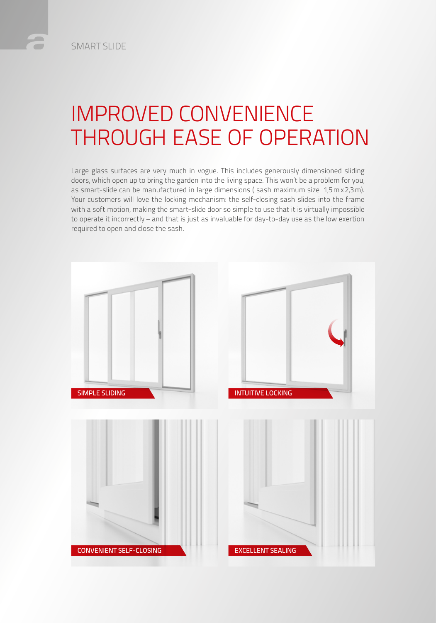## IMPROVED CONVENIENCE THROUGH EASE OF OPERATION

Large glass surfaces are very much in vogue. This includes generously dimensioned sliding doors, which open up to bring the garden into the living space. This won't be a problem for you, as smart-slide can be manufactured in large dimensions ( sash maximum size 1,5mx2,3m). Your customers will love the locking mechanism: the self-closing sash slides into the frame with a soft motion, making the smart-slide door so simple to use that it is virtually impossible to operate it incorrectly – and that is just as invaluable for day-to-day use as the low exertion required to open and close the sash.